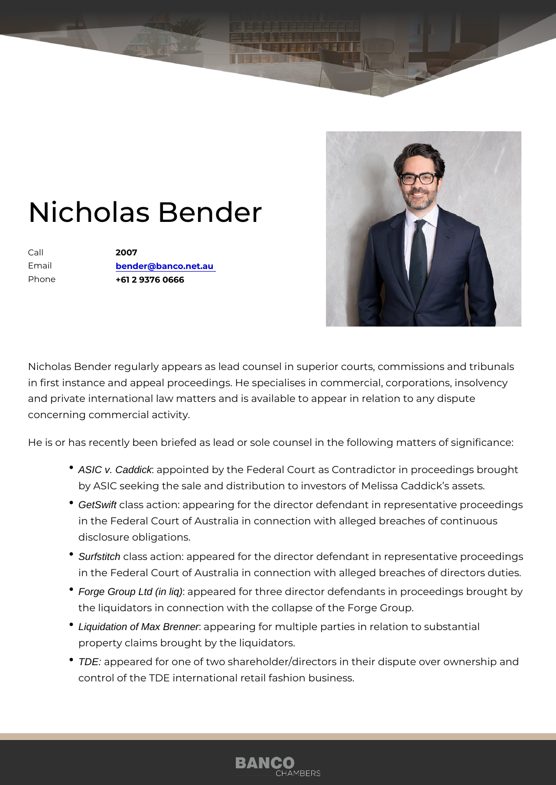## Nicholas Bender

Call 2007 Email [bender@banco.ne](mailto:bender@banco.net.au)t.au Phone +61 2 9376 0666

Nicholas Bender regularly appears as lead counsel in superior courts, commissions and tribunals and tribunals and tribunals and tribunals and tribunals and tribunals and tribunals and tribunals and tribunals and tribunals in first instance and appeal proceedings. He specialises in commercial, o and private international law matters and is available to appear in relation concerning commercial activity.

He is or has recently been briefed as lead or sole counsel in the followin

- \* ASIC v. Caddick: appointed by the Federal Court as Contradictor in prod by ASIC seeking the sale and distribution to investors of Melissa
- <sup>.</sup> GetSwift class action: appearing for the director defendant in represe in the Federal Court of Australia in connection with alleged breac disclosure obligations.
- \* Surfstitch class action: appeared for the director defendant in represe in the Federal Court of Australia in connection with alleged breac
- \* Forge Group Ltd (in liq): appeared for three director defendants in proceed the liquidators in connection with the collapse of the Forge Group.
- Liquidation of Max Brenner: appearing for multiple parties in relation to sub property claims brought by the liquidators.
- \* TDE: appeared for one of two shareholder/directors in their dispute control of the TDE international retail fashion business.